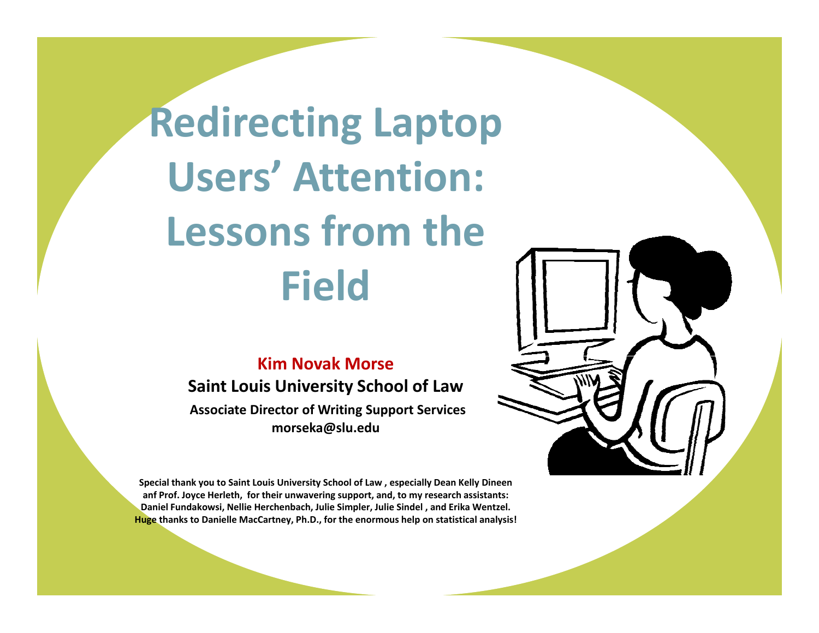**Redirecting Laptop Users' Attention: Lessons from the Field** 

#### **Kim Novak Morse**

**Saint Louis University School of Law**

**Associate Director of Writing Support Services morseka@slu.edu**

**Special thank you to Saint Louis University School of Law , especially Dean Kelly Dineen anf Prof. Joyce Herleth, for their unwavering support, and, to my research assistants: Daniel Fundakowsi, Nellie Herchenbach, Julie Simpler, Julie Sindel , and Erika Wentzel. Huge thanks to Danielle MacCartney, Ph.D., for the enormous help on statistical analysis!**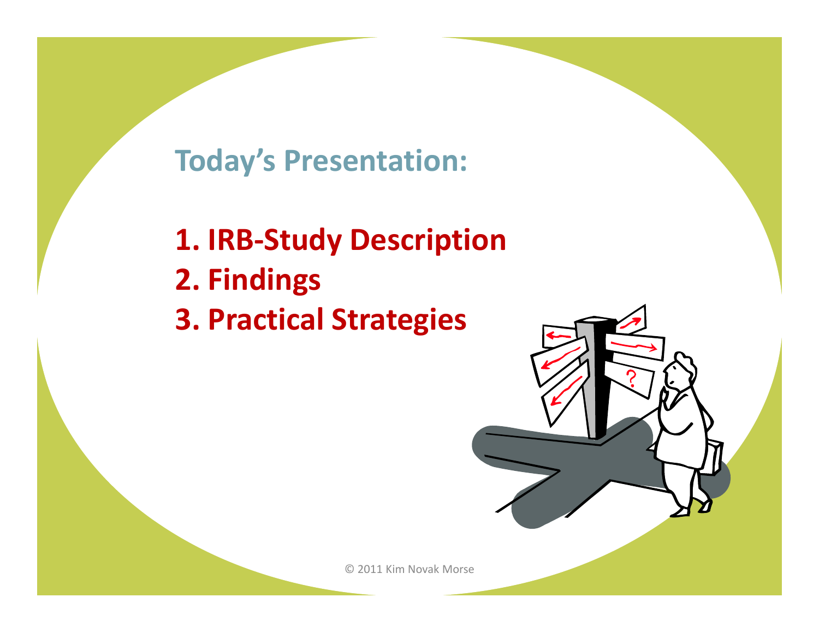## **Today's Presentation:**

**1. IRB‐Study Description 2. Findings 3. Practical Strategies**

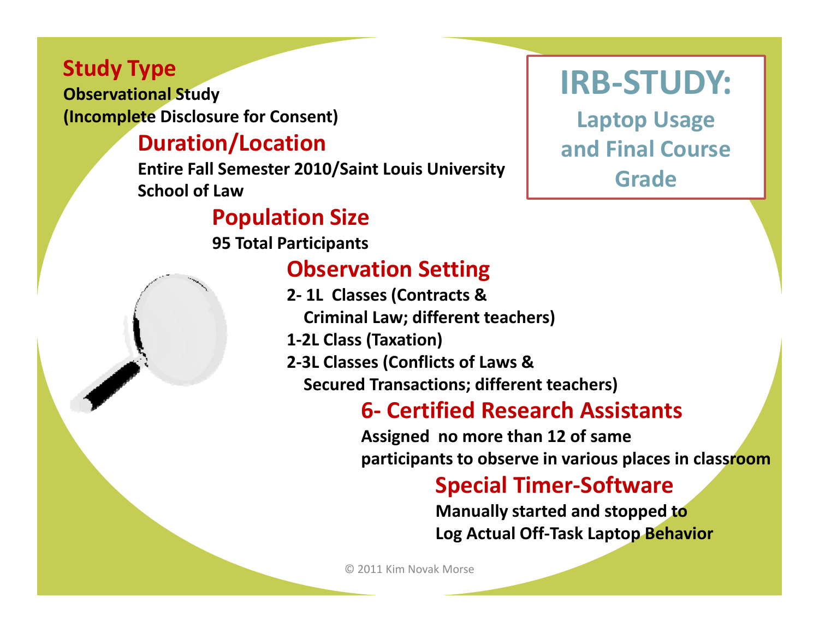### **Study Type**

**Observational Study (Incomplete Disclosure for Consent)**

### **Duration/Location**

**Entire Fall Semester 2010/Saint Louis University School of Law**

### **Population Size**

**95 Total Participants**

### **Observation Setting**

- **2‐ 1L Classes (Contracts &**
	- **Criminal Law; different teachers)**
- **1‐2L Class (Taxation)**
- **2‐3L Classes ( fli Con cts of Laws & Secured Transactions; different teachers)**

## **6‐ Certified Research Assistants**

**Assigned no more than 12 of same participants to observe in various places in classroom**

## **Special Timer‐Software**

**Manually started and stopped to Log Actual Off‐Task Laptop Behavior**

© 2011 Kim Novak Morse

## **IRB‐STUDY:**

 **Laptop Usage and Final Course Grade**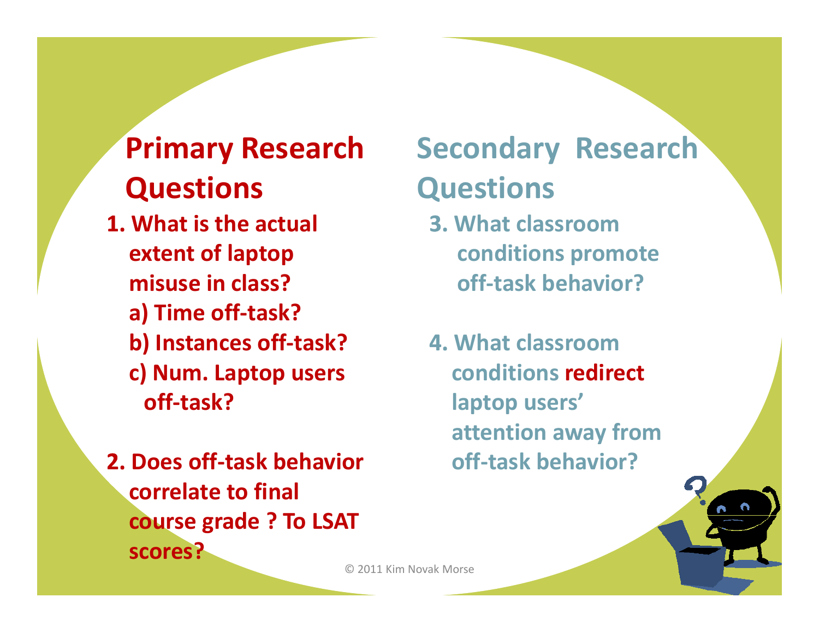## **Primary Research Questions**

- **1. What is the actual extent of laptop i i l ?misuse in**
	- **a) Time off‐task?**
	- **b) Instances off‐task?**
	- **c) Num. Laptop users off‐task?**
- **2. Does off‐task behavior correlate to final d ? T LSAT course grade To scores?**

## **Secondary Research Questions**

- **3. What classroomconditions promote class? ff k bh i ? off‐taskbehavior?4. What classroom**
- **conditions redirect laptop users' attention away from off‐task behavior?**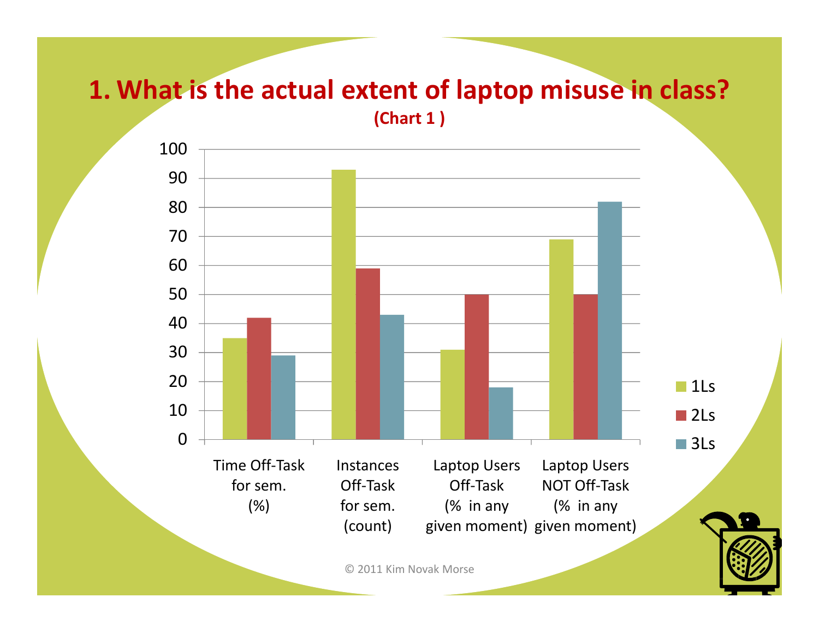### **1. What is the actual extent of laptop misuse in class? (Chart 1 )**

9010060708030405001020**1Ls** ■2Ls Time Off‐Task for sem. (%) InstancesOff‐Taskfor sem. Laptop Users Off‐Task(% in any Laptop Users NOT Off‐Task (% in any ■3Ls (count) given moment) given moment)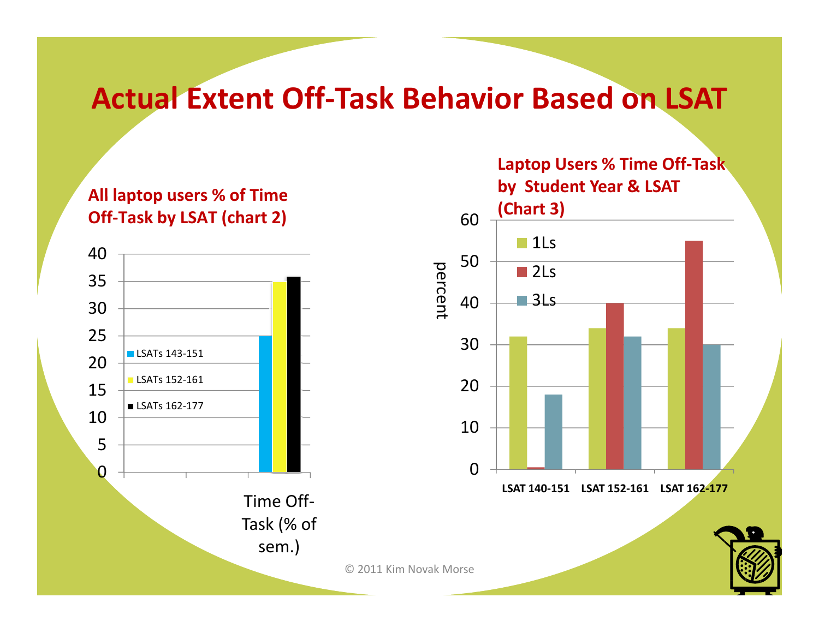## **Actual Extent Off‐Task Behavior Based on LSAT**

#### **All laptop users % of Time users%Off‐Task by LSAT (chart 2)**



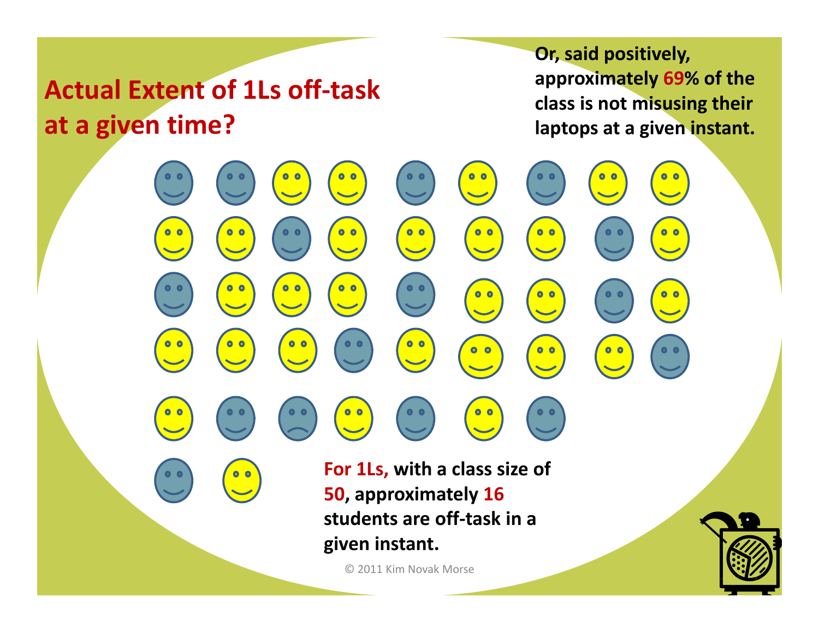## **Actual Extent of 1Ls off‐task at a given time?**

**Or, said positively, approximately 69% of the class is not misusing their given time? laptops at <sup>a</sup> given instant.**

**For 1Ls, with <sup>a</sup> class size of 50, approximately 16 td t ff t k i students are off‐taskin a given instant.**

 $0<sub>0</sub>$ 

 $0<sub>o</sub>$ 

 $0<sub>o</sub>$ 

 $\bullet$ 

 $0<sub>0</sub>$ 

 $0<sub>0</sub>$ 

© 2011 Kim Novak Morse

 $\begin{array}{c} \bullet & \bullet \\ \hline \bullet & \bullet \end{array}$ 

 $0<sub>o</sub>$ 

 $0<sub>o</sub>$ 

 $0<sub>0</sub>$ 

 $0<sub>o</sub>$ 

 $0<sub>0</sub>$ 

 $\bullet$   $\bullet$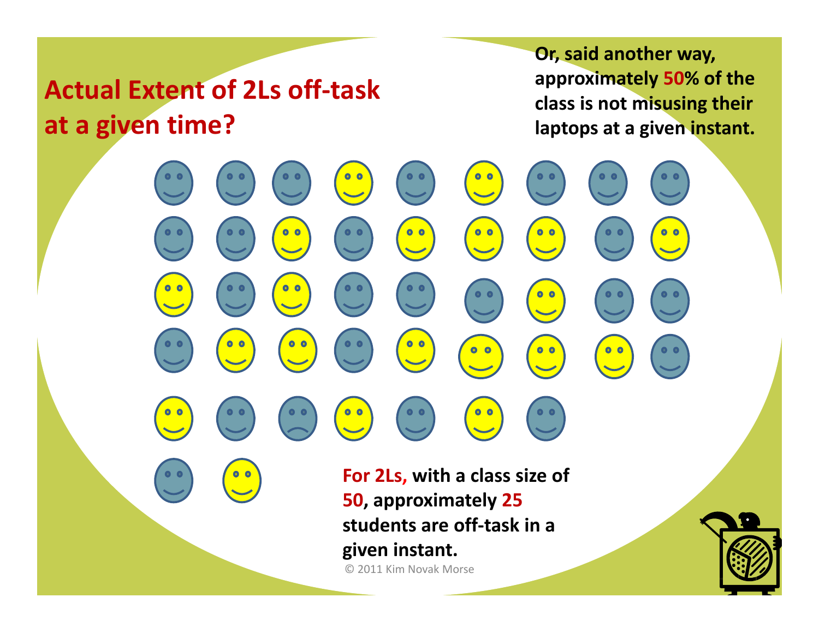## **Actual Extent of 2Ls off‐task at a given time?**

 $\bullet$   $\bullet$ 

 $\bullet$   $\bullet$ 

**Or, said another way, approximately 50% of the class is not misusing their given time? laptops at <sup>a</sup> given instant.**

**For 2Ls, with <sup>a</sup> class size of 50, approximately 25** © 2011 Kim Novak Morse **students are off‐task in a given instant.**

 $\begin{array}{c} \bullet & \bullet \\ \hline \bullet & \bullet \end{array}$ 

 $0<sub>o</sub>$ 

 $0<sub>o</sub>$ 

 $0<sub>o</sub>$ 

 $0<sub>o</sub>$ 

 $0<sub>o</sub>$ 

 $\bullet$ 

 $0<sub>0</sub>$ 

 $0<sub>0</sub>$ 

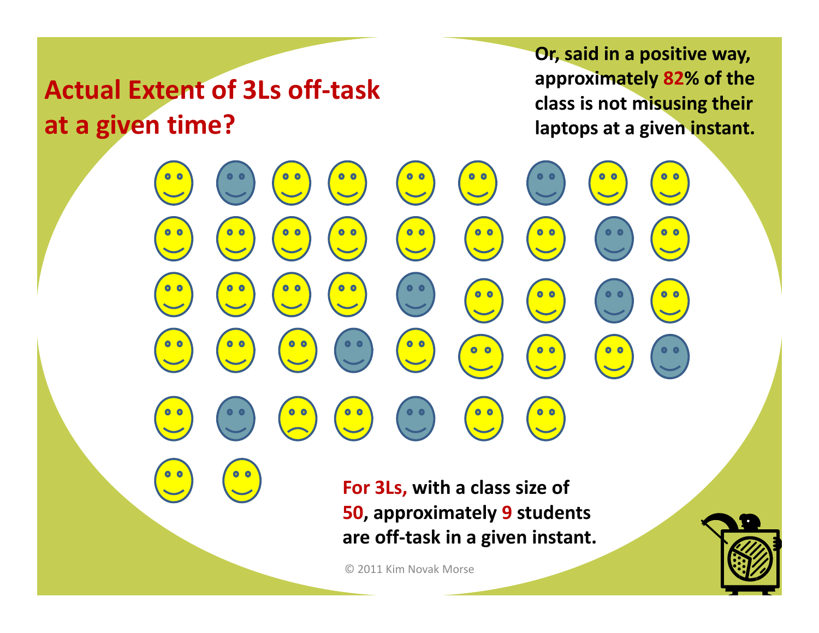## **Actual Extent of 3Ls off‐task at a given time?**

 $\bullet$   $\bullet$ 

 $0<sub>0</sub>$ 

 $\bullet$   $\bullet$ 

 $0<sub>o</sub>$ 

 $0<sub>0</sub>$ 

 $0<sub>o</sub>$ 

**Or, said in <sup>a</sup> positive way, approximately 82% of the class is not misusing their given time? laptops at <sup>a</sup> given instant.**

**For 3Ls, with <sup>a</sup> class size of 50 approximately 9 students 50, are off‐task in <sup>a</sup> given instant.**

© 2011 Kim Novak Morse

 $\begin{array}{c} \bullet & \bullet \\ \bullet & \bullet \end{array}$ 

 $\begin{array}{c} \bullet & \bullet \\ \bullet & \bullet \end{array}$ 

 $0<sub>o</sub>$ 

 $0<sub>0</sub>$ 

 $0<sub>o</sub>$ 

 $0<sub>o</sub>$ 

 $0<sub>o</sub>$ 

 $\bullet$ 

 $0<sub>0</sub>$ 

 $0<sub>o</sub>$ 

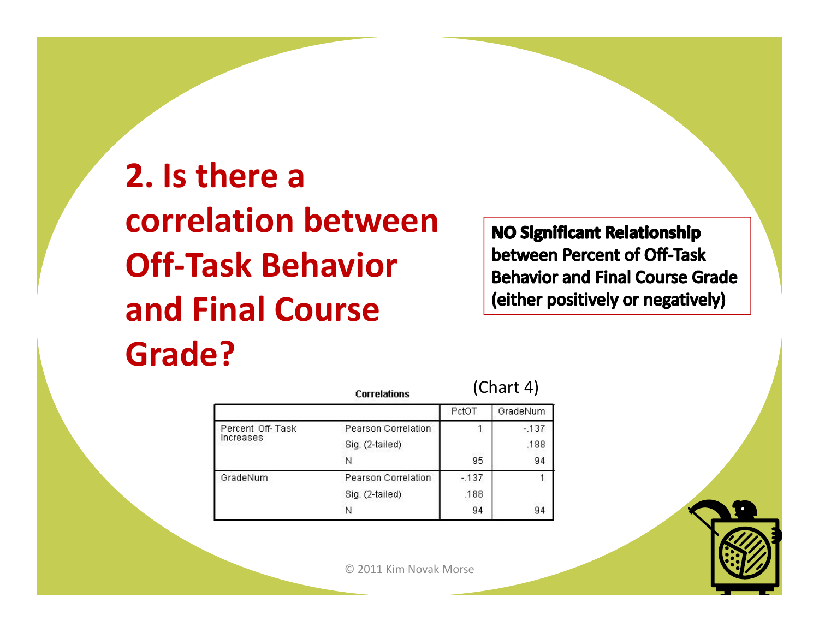**2. Is there a correlation between Off‐Task Behavior and Final Course Grade?**

**NO Significant Relationship** between Percent of Off-Task **Behavior and Final Course Grade** (either positively or negatively)

|                               | <b>Correlations</b> | (Chart 4) |          |
|-------------------------------|---------------------|-----------|----------|
|                               |                     | PctOT     | GradeNum |
| Percent Off-Task<br>Increases | Pearson Correlation |           | $-137$   |
|                               | Sig. (2-tailed)     |           | .188     |
|                               | N                   | 95        | 94       |
| GradeNum                      | Pearson Correlation | $-137$    |          |
|                               | Sig. (2-tailed)     | .188      |          |
|                               | N                   | 94        | 94       |

© 2011 Kim Novak Morse

 $\left($ Chart  $\left($ A)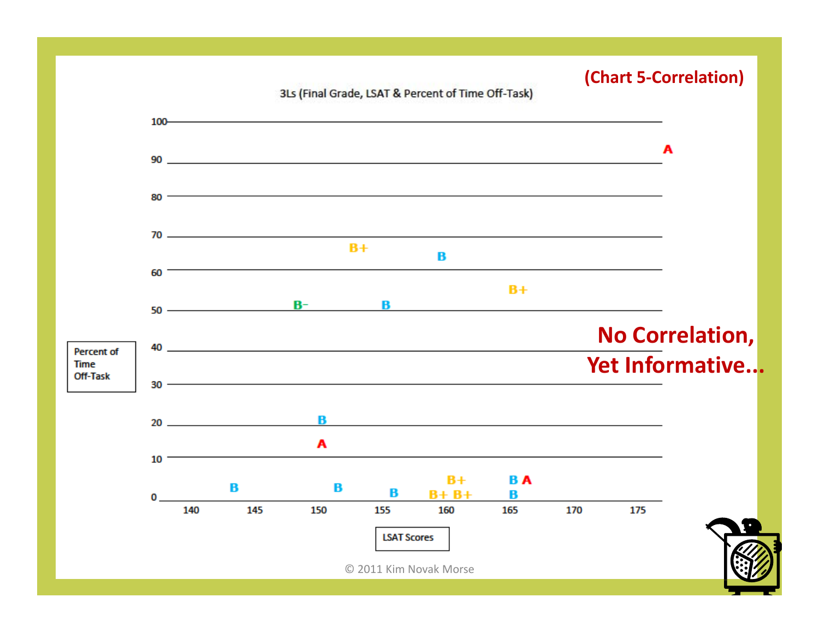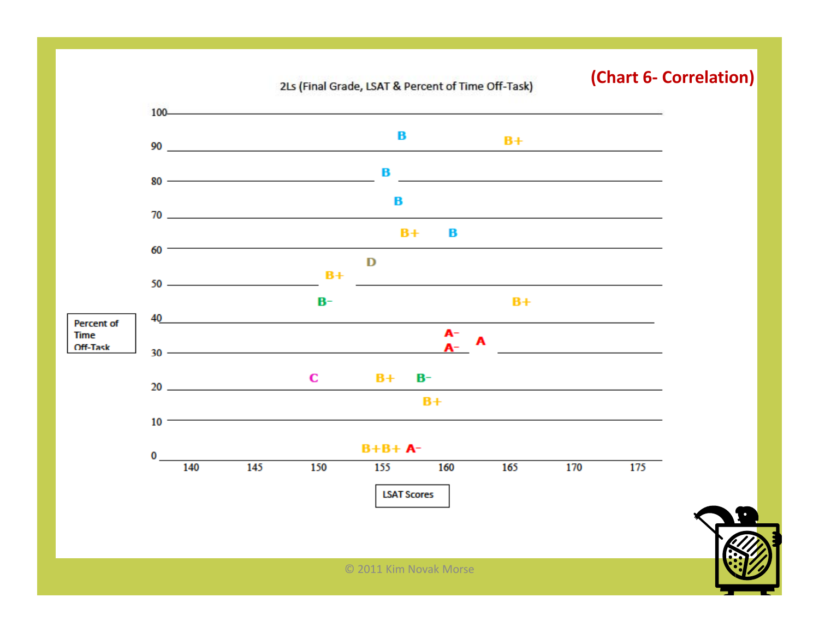2Ls (Final Grade, LSAT & Percent of Time Off-Task)

#### **(Chart 6‐ Correlation)**

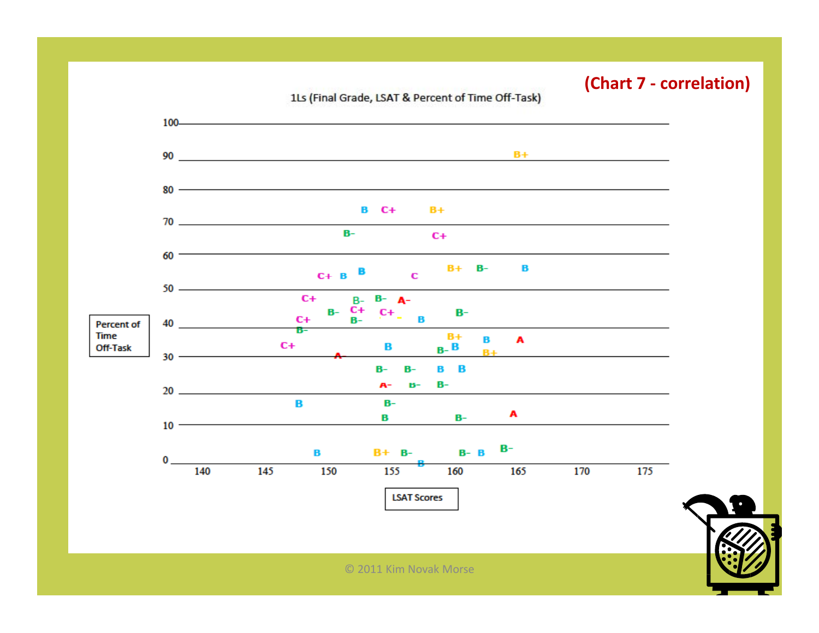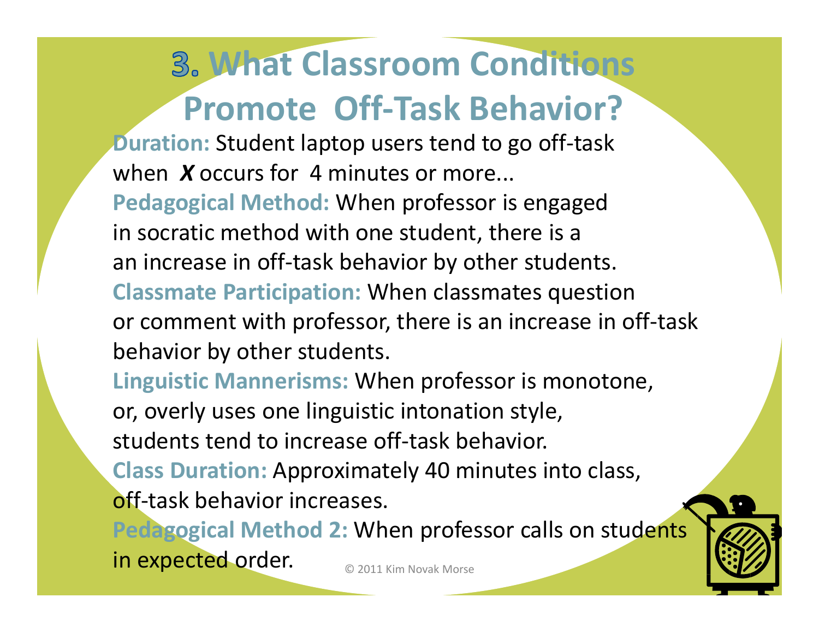# **What Classroom Conditions Promote Off‐Task Behavior?**

**Duration:** Student laptop users tend to go off‐task when *X* occurs for 4 minutes or more...

**Pd i l e agogicalM th d <sup>e</sup> <sup>o</sup> :** When professor is engaged in socratic method with one student, there is <sup>a</sup> an increase in off‐task behavior by other students. **Classmate Participation:** When classmates question or comment with professor, there is an increase in off‐task behavior by other students.

**Linguistic Mannerisms:** When professor is monotone, or, overly uses one linguistic intonation style, students tend to increase off-task behavior. **Class Duration:** Approximately 40 minutes into class,

off-task behavior increases.

© 2011 Kim Novak Morse **Pedagogical Method 2:** When professor calls on students in expected order.

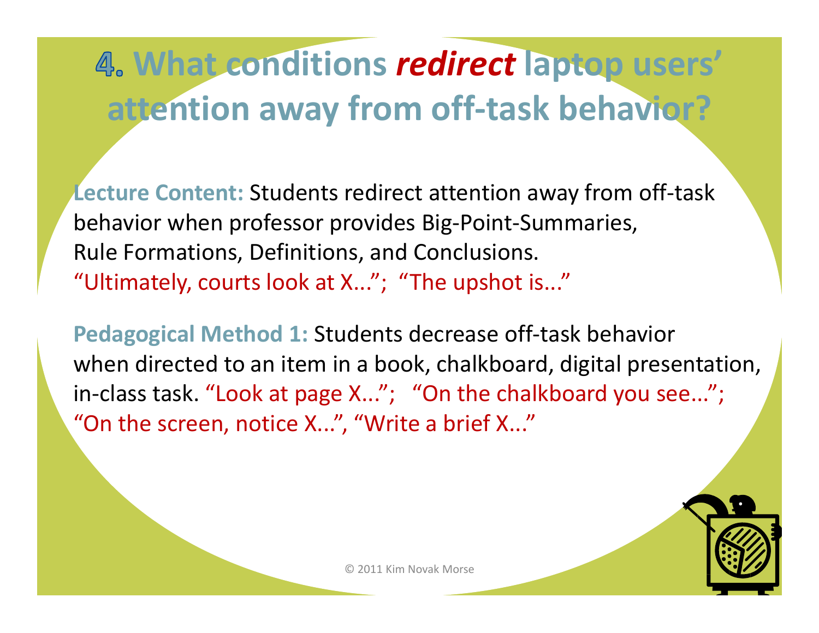# **What conditions** *redirect* **laptop users' attention away from off‐task behavior?**

**Lecture Content:** Students redirect attention away from off‐task behavior when professor provides Big‐Point‐Summaries, Rule Formations, Definitions, and Conclusions. "Ultimately, courts look at X..."; "The upshot is..."

**Pedagogical Method 1:** Students decrease off‐task behavior when directed to an item in a book, chalkboard, digital presentation, in-class task. "Look at page X..."; "On the chalkboard you see..."; "On the screen, notice X...", "Write <sup>a</sup> brief X..."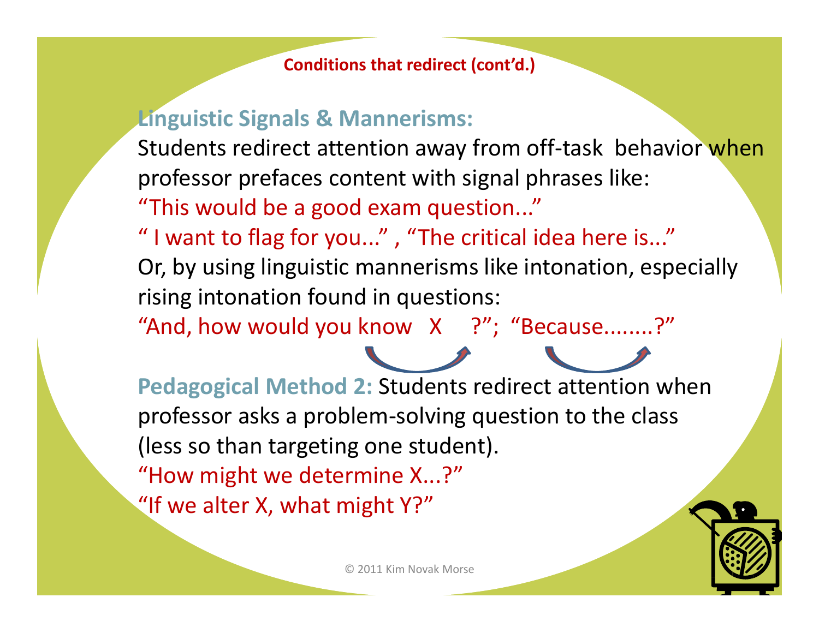#### **Conditions that redirect (cont'd.)**

### **Linguistic Signals & Mannerisms:**

Students redirect attention away from off-task behavior when professor prefaces content with signal phrases like: "This would be <sup>a</sup> good exam question..."

" I want to flag for you..." , "The critical idea here is..." Or, by using linguistic mannerisms like intonation, especially rising intonation found in questions:

"And, how would you know X ?"; "Because........?"

**Pedagogical Method 2:** Students redirect attention when professor asks <sup>a</sup> problem‐solving question to the class (less so than targeting one student). "How might we determine X...?" "If we alter X, what might Y?" ,g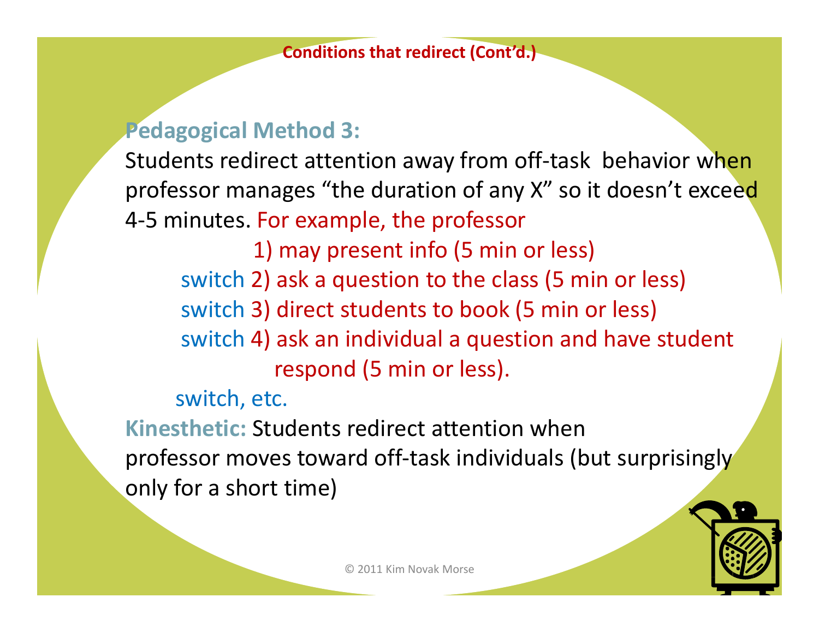## **Pedagogical Method 3:**

Students redirect attention away from off-task behavior when professor manages "the duration of any X" so it doesn't exceed 4‐5 minutes. For example, the professor

1) may present info (5 min or less) switch 2) ask <sup>a</sup> question to the class (5 min or less) switch 3) direct students to book (5 min or less) switch 4) ask an individual <sup>a</sup> question and have student respond (5 min or less).

switch, etc.

**Kinesthetic:** Students redirect attention when professor moves toward off-task individuals (but surprisingly only for <sup>a</sup> short time)